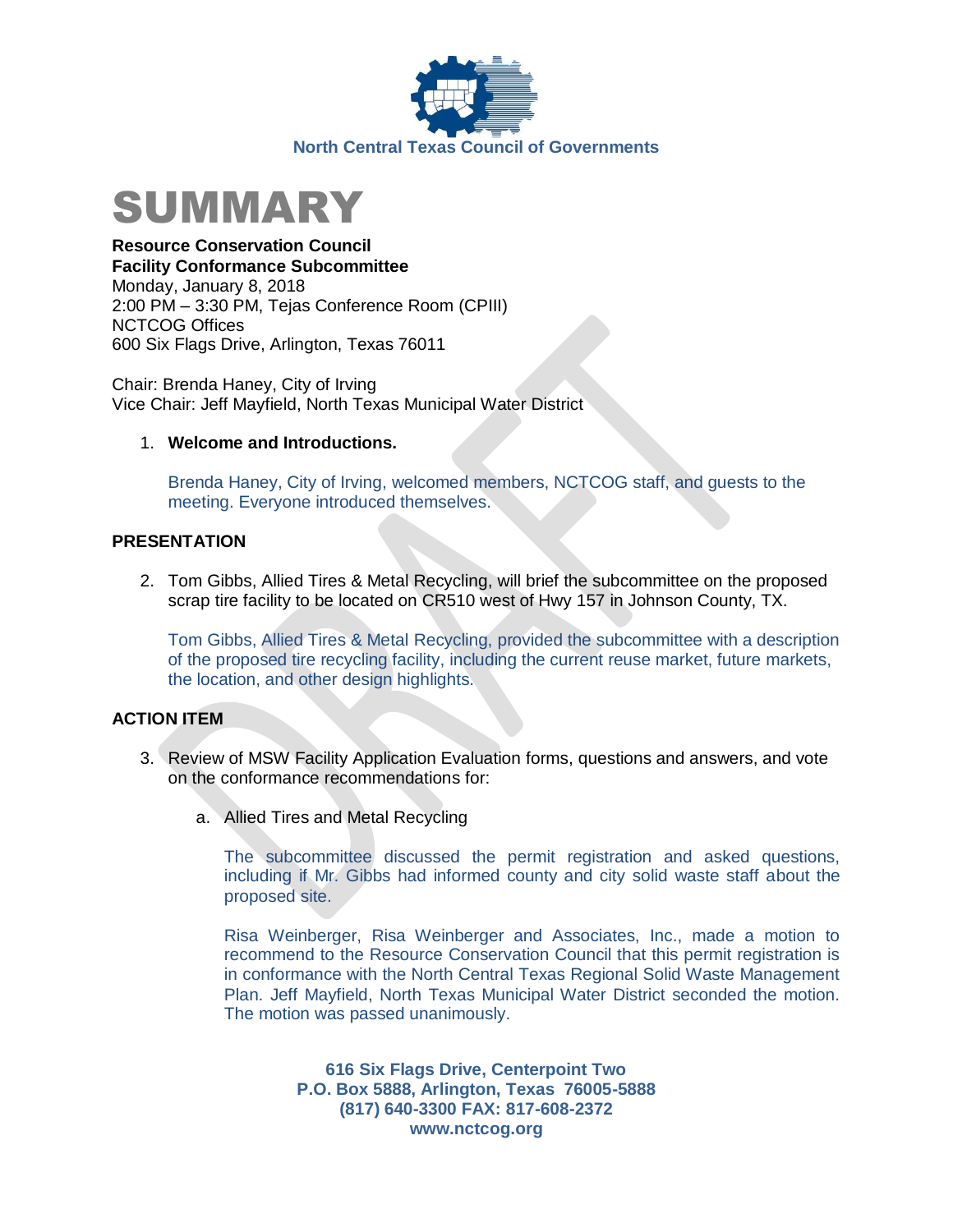



**Resource Conservation Council Facility Conformance Subcommittee** Monday, January 8, 2018 2:00 PM – 3:30 PM, Tejas Conference Room (CPIII)

NCTCOG Offices 600 Six Flags Drive, Arlington, Texas 76011

Chair: Brenda Haney, City of Irving Vice Chair: Jeff Mayfield, North Texas Municipal Water District

## 1. **Welcome and Introductions.**

Brenda Haney, City of Irving, welcomed members, NCTCOG staff, and guests to the meeting. Everyone introduced themselves.

## **PRESENTATION**

2. Tom Gibbs, Allied Tires & Metal Recycling, will brief the subcommittee on the proposed scrap tire facility to be located on CR510 west of Hwy 157 in Johnson County, TX.

Tom Gibbs, Allied Tires & Metal Recycling, provided the subcommittee with a description of the proposed tire recycling facility, including the current reuse market, future markets, the location, and other design highlights.

## **ACTION ITEM**

- 3. Review of MSW Facility Application Evaluation forms, questions and answers, and vote on the conformance recommendations for:
	- a. Allied Tires and Metal Recycling

The subcommittee discussed the permit registration and asked questions, including if Mr. Gibbs had informed county and city solid waste staff about the proposed site.

Risa Weinberger, Risa Weinberger and Associates, Inc., made a motion to recommend to the Resource Conservation Council that this permit registration is in conformance with the North Central Texas Regional Solid Waste Management Plan. Jeff Mayfield, North Texas Municipal Water District seconded the motion. The motion was passed unanimously.

> **616 Six Flags Drive, Centerpoint Two P.O. Box 5888, Arlington, Texas 76005-5888 (817) 640-3300 FAX: 817-608-2372 www.nctcog.org**